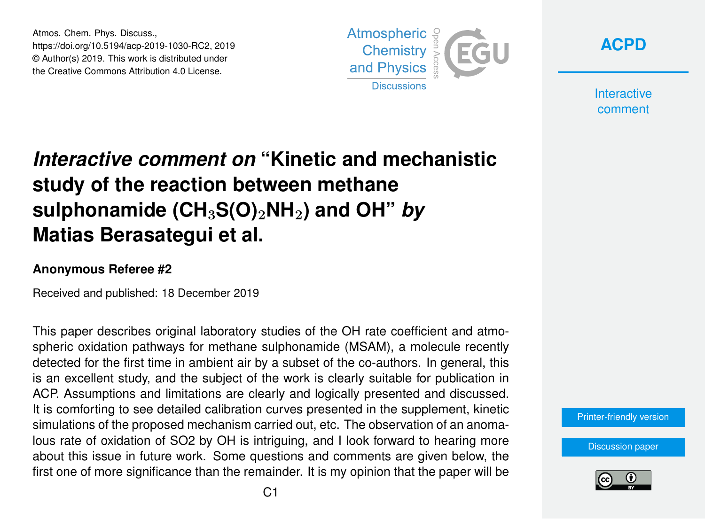Atmos. Chem. Phys. Discuss., https://doi.org/10.5194/acp-2019-1030-RC2, 2019 © Author(s) 2019. This work is distributed under the Creative Commons Attribution 4.0 License.



**[ACPD](https://www.atmos-chem-phys-discuss.net/)**

**Interactive** comment

## *Interactive comment on* **"Kinetic and mechanistic study of the reaction between methane sulphonamide (CH**3**S(O)**2**NH**2**) and OH"** *by* **Matias Berasategui et al.**

## **Anonymous Referee #2**

Received and published: 18 December 2019

This paper describes original laboratory studies of the OH rate coefficient and atmospheric oxidation pathways for methane sulphonamide (MSAM), a molecule recently detected for the first time in ambient air by a subset of the co-authors. In general, this is an excellent study, and the subject of the work is clearly suitable for publication in ACP. Assumptions and limitations are clearly and logically presented and discussed. It is comforting to see detailed calibration curves presented in the supplement, kinetic simulations of the proposed mechanism carried out, etc. The observation of an anomalous rate of oxidation of SO2 by OH is intriguing, and I look forward to hearing more about this issue in future work. Some questions and comments are given below, the first one of more significance than the remainder. It is my opinion that the paper will be

[Printer-friendly version](https://www.atmos-chem-phys-discuss.net/acp-2019-1030/acp-2019-1030-RC2-print.pdf)

[Discussion paper](https://www.atmos-chem-phys-discuss.net/acp-2019-1030)

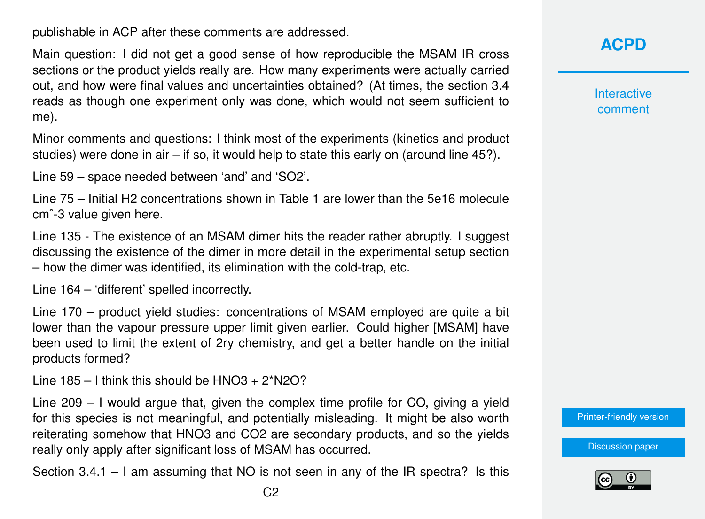publishable in ACP after these comments are addressed.

Main question: I did not get a good sense of how reproducible the MSAM IR cross sections or the product yields really are. How many experiments were actually carried out, and how were final values and uncertainties obtained? (At times, the section 3.4 reads as though one experiment only was done, which would not seem sufficient to me).

Minor comments and questions: I think most of the experiments (kinetics and product studies) were done in air  $-$  if so, it would help to state this early on (around line 45?).

Line 59 – space needed between 'and' and 'SO2'.

Line 75 – Initial H2 concentrations shown in Table 1 are lower than the 5e16 molecule cm<sup> $-3$ </sup> value given here.

Line 135 - The existence of an MSAM dimer hits the reader rather abruptly. I suggest discussing the existence of the dimer in more detail in the experimental setup section – how the dimer was identified, its elimination with the cold-trap, etc.

Line 164 – 'different' spelled incorrectly.

Line 170 – product yield studies: concentrations of MSAM employed are quite a bit lower than the vapour pressure upper limit given earlier. Could higher [MSAM] have been used to limit the extent of 2ry chemistry, and get a better handle on the initial products formed?

Line  $185 - 1$  think this should be  $HNO3 + 2*N2O$ ?

Line 209 – I would argue that, given the complex time profile for CO, giving a yield for this species is not meaningful, and potentially misleading. It might be also worth reiterating somehow that HNO3 and CO2 are secondary products, and so the yields really only apply after significant loss of MSAM has occurred.

Section 3.4.1 – I am assuming that NO is not seen in any of the IR spectra? Is this

**Interactive** comment

[Printer-friendly version](https://www.atmos-chem-phys-discuss.net/acp-2019-1030/acp-2019-1030-RC2-print.pdf)

[Discussion paper](https://www.atmos-chem-phys-discuss.net/acp-2019-1030)